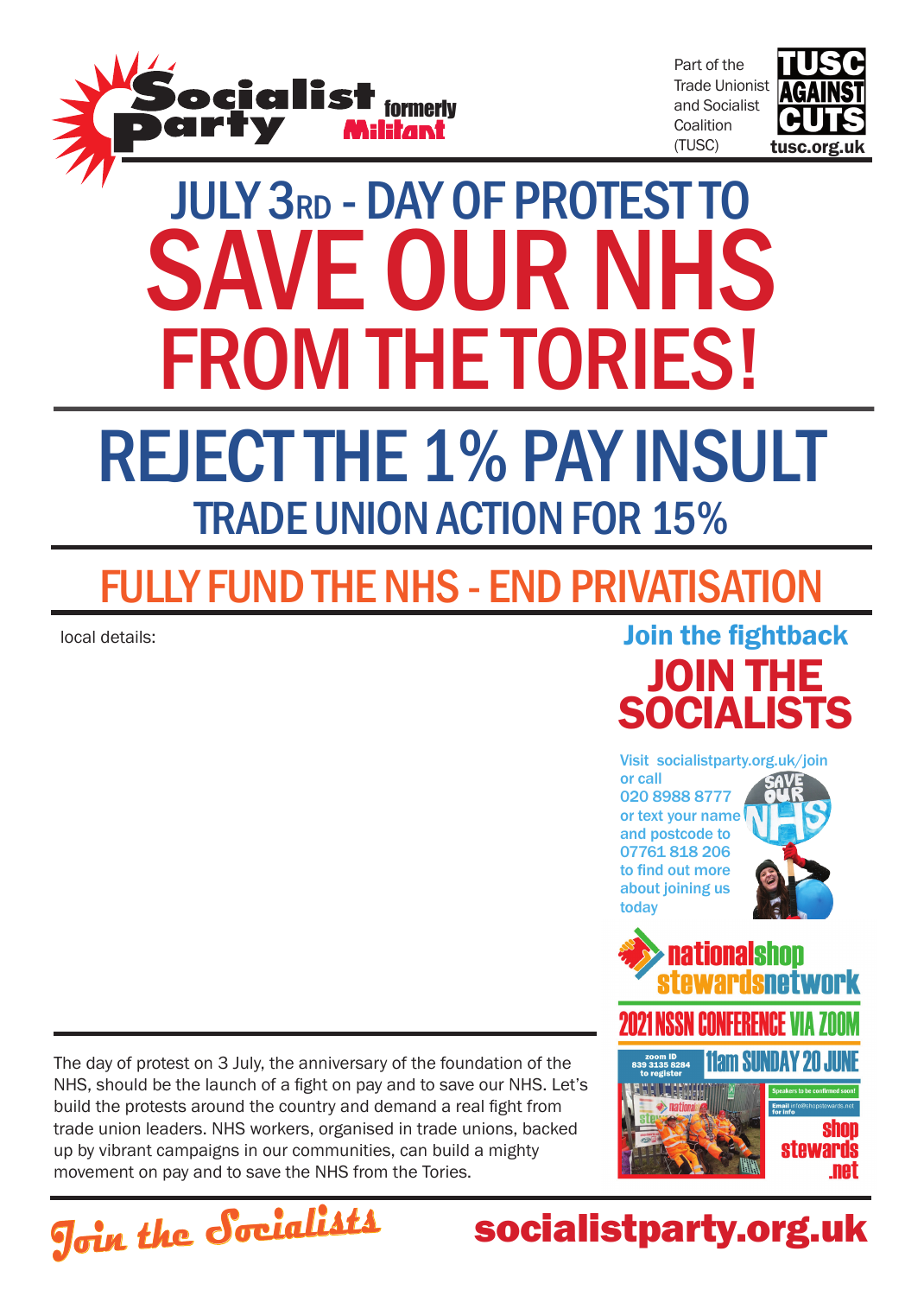

Part of the Trade Unionist and Socialist **Coalition** (TUSC)



# july 3rd - DAY OF PROTEST TO SAVE OUR NHS from the tories! REJECT THE 1% PAY INSULT trade Union action for 15%

## FULLY FUND THE NHS - END PRIVATISATION

local details:



Visit socialistparty.org.uk/join

ationals

or call 020 8988 8777 or text your name and postcode to 07761 818 206 to find out more about joining us today



**net** 

nam Sunday 20 The day of protest on 3 July, the anniversary of the foundation of the NHS, should be the launch of a fight on pay and to save our NHS. Let's build the protests around the country and demand a real fight from trade union leaders. NHS workers, organised in trade unions, backed up by vibrant campaigns in our communities, can build a mighty movement on pay and to save the NHS from the Tories.



### socialistparty.org.uk